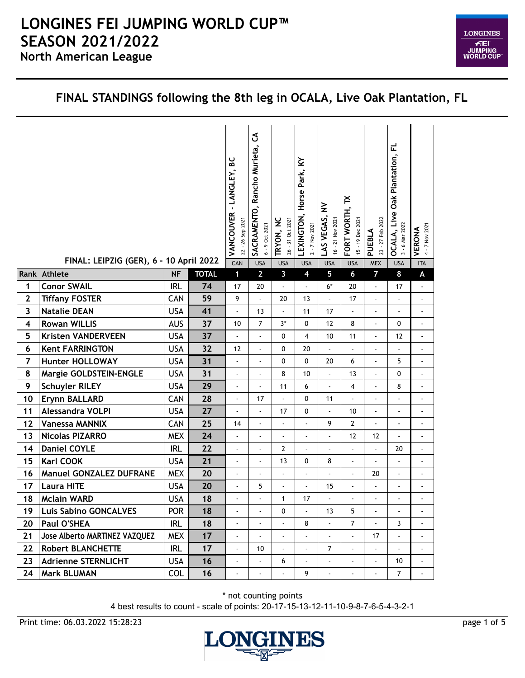

#### **FINAL STANDINGS following the 8th leg in OCALA, Live Oak Plantation, FL**

|                         | FINAL: LEIPZIG (GER), 6 - 10 April 2022 |            |              | VANCOUVER - LANGLEY, BC<br>22 - 26 Sep 2021<br>CAN | ქ<br>Rancho Murieta,<br>SACRAMENTO,<br>6 - 9 Oct 2021<br><b>USA</b> | TRYON, NC<br>26 - 31 Oct 2021<br><b>USA</b> | LEXINGTON, Horse Park, KY<br>2 - 7 Nov 2021<br><b>USA</b> | $\geq$<br>LAS VEGAS,<br>16 - 21 Nov 2021<br><b>USA</b> | ř<br>FORT WORTH,<br>15 - 19 Dec 2021<br><b>USA</b> | 23 - 27 Feb 2022<br>PUEBLA<br><b>MEX</b> | OCALA, Live Oak Plantation, FL<br>3 - 6 Mar 2022<br><b>USA</b> | 4 - 7 Nov 2021<br>VERONA<br><b>ITA</b> |
|-------------------------|-----------------------------------------|------------|--------------|----------------------------------------------------|---------------------------------------------------------------------|---------------------------------------------|-----------------------------------------------------------|--------------------------------------------------------|----------------------------------------------------|------------------------------------------|----------------------------------------------------------------|----------------------------------------|
|                         | Rank Athlete                            | <b>NF</b>  | <b>TOTAL</b> | $\mathbf{1}$                                       | $\overline{2}$                                                      | $\mathbf{3}$                                | $\overline{\mathbf{4}}$                                   | 5                                                      | $\boldsymbol{6}$                                   | $\overline{7}$                           | 8                                                              | A                                      |
| 1                       | <b>Conor SWAIL</b>                      | <b>IRL</b> | 74           | 17                                                 | 20                                                                  | ä,                                          | ä,                                                        | $6*$                                                   | 20                                                 | $\blacksquare$                           | 17                                                             | ä,                                     |
| $\mathbf{2}$            | <b>Tiffany FOSTER</b>                   | CAN        | 59           | 9                                                  | $\blacksquare$                                                      | 20                                          | 13                                                        | ä,                                                     | 17                                                 | $\blacksquare$                           | ÷,                                                             | $\blacksquare$                         |
| $\overline{\mathbf{3}}$ | <b>Natalie DEAN</b>                     | <b>USA</b> | 41           | $\overline{a}$                                     | 13                                                                  | ä,                                          | 11                                                        | 17                                                     | ä,                                                 | $\blacksquare$                           | ÷,                                                             | $\Box$                                 |
| 4                       | <b>Rowan WILLIS</b>                     | <b>AUS</b> | 37           | 10                                                 | $\overline{7}$                                                      | $3*$                                        | $\mathbf 0$                                               | 12                                                     | 8                                                  | ä,                                       | $\pmb{0}$                                                      | $\overline{\phantom{a}}$               |
| 5                       | <b>Kristen VANDERVEEN</b>               | <b>USA</b> | 37           |                                                    | ÷,                                                                  | 0                                           | 4                                                         | $10$                                                   | 11                                                 | $\overline{a}$                           | 12                                                             | $\blacksquare$                         |
| 6                       | <b>Kent FARRINGTON</b>                  | <b>USA</b> | 32           | 12                                                 | ÷,                                                                  | 0                                           | 20                                                        | ä,                                                     | $\blacksquare$                                     | $\blacksquare$                           | $\overline{a}$                                                 | $\Box$                                 |
| $\overline{7}$          | <b>Hunter HOLLOWAY</b>                  | <b>USA</b> | 31           |                                                    |                                                                     | $\mathbf 0$                                 | 0                                                         | 20                                                     | 6                                                  | $\overline{a}$                           | 5                                                              | ä,                                     |
| 8                       | Margie GOLDSTEIN-ENGLE                  | <b>USA</b> | 31           | $\overline{a}$                                     |                                                                     | 8                                           | 10                                                        | ä,                                                     | 13                                                 | ä,                                       | $\pmb{0}$                                                      | ä,                                     |
| 9                       | <b>Schuyler RILEY</b>                   | <b>USA</b> | 29           | ÷,                                                 | ÷,                                                                  | 11                                          | 6                                                         | L.                                                     | 4                                                  | $\overline{a}$                           | 8                                                              | $\Box$                                 |
| 10                      | Erynn BALLARD                           | CAN        | 28           | $\overline{a}$                                     | 17                                                                  |                                             | 0                                                         | 11                                                     | $\Box$                                             | $\blacksquare$                           | $\overline{\phantom{a}}$                                       | $\blacksquare$                         |
| 11                      | Alessandra VOLPI                        | <b>USA</b> | 27           | ÷,                                                 | ÷,                                                                  | 17                                          | 0                                                         | ÷.                                                     | 10                                                 | $\overline{a}$                           | ÷,                                                             | ä,                                     |
| 12                      | <b>Vanessa MANNIX</b>                   | CAN        | 25           | 14                                                 |                                                                     |                                             | $\overline{a}$                                            | 9                                                      | $\mathbf{2}$                                       | $\overline{a}$                           | $\blacksquare$                                                 | $\ddot{\phantom{a}}$                   |
| 13                      | <b>Nicolas PIZARRO</b>                  | <b>MEX</b> | 24           | $\blacksquare$                                     | $\overline{a}$                                                      | ÷,                                          | $\blacksquare$                                            | ä,                                                     | 12                                                 | 12                                       | ÷,                                                             | $\Box$                                 |
| 14                      | <b>Daniel COYLE</b>                     | <b>IRL</b> | 22           | $\ddot{\phantom{a}}$                               | ÷,                                                                  | $\mathbf{2}$                                |                                                           |                                                        | L.                                                 | L.                                       | 20                                                             | L.                                     |
| 15                      | Karl COOK                               | <b>USA</b> | 21           | $\frac{1}{2}$                                      | $\blacksquare$                                                      | 13                                          | 0                                                         | 8                                                      | $\blacksquare$                                     | $\blacksquare$                           | $\blacksquare$                                                 | $\blacksquare$                         |
| 16                      | <b>Manuel GONZALEZ DUFRANE</b>          | <b>MEX</b> | 20           | ÷,                                                 | ä,                                                                  | ä,                                          | ÷,                                                        | $\overline{a}$                                         | ä,                                                 | 20                                       | ÷,                                                             | $\blacksquare$                         |
| 17                      | <b>Laura HITE</b>                       | <b>USA</b> | 20           | $\frac{1}{2}$                                      | 5                                                                   | ä,                                          | ÷,                                                        | 15                                                     | ÷                                                  | $\blacksquare$                           | ÷                                                              | $\blacksquare$                         |
| 18                      | <b>Mclain WARD</b>                      | <b>USA</b> | 18           |                                                    |                                                                     | $\mathbf{1}$                                | 17                                                        | $\overline{a}$                                         | ä,                                                 | L,                                       | $\ddot{\phantom{a}}$                                           | L,                                     |
| 19                      | <b>Luis Sabino GONCALVES</b>            | <b>POR</b> | 18           | $\overline{a}$                                     | $\blacksquare$                                                      | 0                                           | ä,                                                        | 13                                                     | 5                                                  | $\overline{a}$                           |                                                                | $\ddot{\phantom{0}}$                   |
| 20                      | Paul O'SHEA                             | <b>IRL</b> | 18           |                                                    | $\overline{a}$                                                      |                                             | 8                                                         | ÷.                                                     | $\overline{7}$                                     | $\blacksquare$                           | 3                                                              | $\blacksquare$                         |
| 21                      | Jose Alberto MARTINEZ VAZQUEZ           | <b>MEX</b> | 17           | $\overline{a}$                                     | $\blacksquare$                                                      | ä,                                          | ÷.                                                        | $\blacksquare$                                         | $\blacksquare$                                     | 17                                       | ÷,                                                             | $\blacksquare$                         |
| 22                      | <b>Robert BLANCHETTE</b>                | <b>IRL</b> | 17           | $\blacksquare$                                     | 10                                                                  | ٠                                           | $\blacksquare$                                            | 7                                                      | $\blacksquare$                                     | $\blacksquare$                           | $\blacksquare$                                                 | $\blacksquare$                         |
| 23                      | <b>Adrienne STERNLICHT</b>              | <b>USA</b> | 16           | $\ddot{\phantom{a}}$                               |                                                                     | 6                                           |                                                           |                                                        | $\blacksquare$                                     | ä,                                       | 10                                                             | $\blacksquare$                         |
| 24                      | Mark BLUMAN                             | <b>COL</b> | 16           | $\frac{1}{2}$                                      | $\blacksquare$                                                      | ä,                                          | 9                                                         | $\blacksquare$                                         | $\blacksquare$                                     | $\blacksquare$                           | $\overline{7}$                                                 | $\blacksquare$                         |

\* not counting points

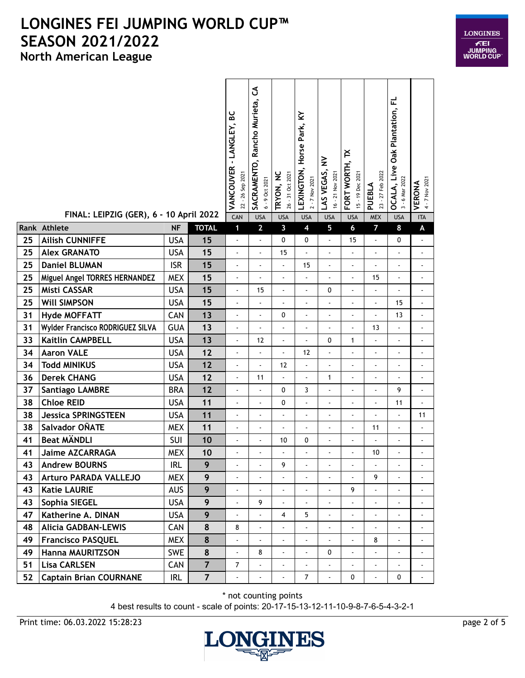| LONGINES                                   |
|--------------------------------------------|
| ÆEI<br><b>JUMPING</b><br><b>WORLD CUP®</b> |

|    | FINAL: LEIPZIG (GER), 6 - 10 April 2022 |            |                | <u>ی</u><br>VANCOUVER - LANGLEY,<br>22 - 26 Sep 2021<br>CAN | రే<br>SACRAMENTO, Rancho Murieta,<br>6 - 9 Oct 2021<br><b>USA</b> | TRYON, NC<br>26 - 31 Oct 2021<br><b>USA</b> | $\boldsymbol{\zeta}$<br>Horse Park,<br>LEXINGTON,<br>2 - 7 Nov 2021<br><b>USA</b> | ≩<br>LAS VEGAS,<br>16 - 21 Nov 2021<br><b>USA</b> | ř<br>FORT WORTH,<br>15 - 19 Dec 2021<br><b>USA</b> | 23 - 27 Feb 2022<br>PUEBLA<br><b>MEX</b> | <b>OCALA, Live Oak Plantation, FL</b><br>3 - 6 Mar 2022<br><b>USA</b> | 4 - 7 Nov 2021<br>VERONA<br><b>ITA</b> |
|----|-----------------------------------------|------------|----------------|-------------------------------------------------------------|-------------------------------------------------------------------|---------------------------------------------|-----------------------------------------------------------------------------------|---------------------------------------------------|----------------------------------------------------|------------------------------------------|-----------------------------------------------------------------------|----------------------------------------|
|    | Rank Athlete                            | <b>NF</b>  | <b>TOTAL</b>   | $\mathbf{1}$                                                | $\overline{2}$                                                    | 3                                           | $\overline{\mathbf{4}}$                                                           | 5                                                 | $6\phantom{a}$                                     | $\overline{7}$                           | 8                                                                     | A                                      |
| 25 | <b>Ailish CUNNIFFE</b>                  | <b>USA</b> | 15             | $\frac{1}{2}$                                               | ÷,                                                                | 0                                           | 0                                                                                 | $\blacksquare$                                    | 15                                                 | $\overline{\phantom{a}}$                 | 0                                                                     |                                        |
| 25 | <b>Alex GRANATO</b>                     | <b>USA</b> | 15             | $\blacksquare$                                              | ÷,                                                                | 15                                          |                                                                                   | $\overline{\phantom{a}}$                          | $\overline{a}$                                     | $\overline{a}$                           | $\overline{\phantom{a}}$                                              | $\overline{a}$                         |
| 25 | <b>Daniel BLUMAN</b>                    | <b>ISR</b> | 15             | $\overline{a}$                                              | ÷.                                                                |                                             | 15                                                                                | $\ddot{\phantom{1}}$                              | $\overline{\phantom{a}}$                           | $\overline{a}$                           | $\ddot{\phantom{a}}$                                                  | $\blacksquare$                         |
| 25 | Miguel Angel TORRES HERNANDEZ           | <b>MEX</b> | 15             | $\overline{a}$                                              | ÷,                                                                | ä,                                          | ä,                                                                                |                                                   | ÷,                                                 | 15                                       | $\blacksquare$                                                        | ä,                                     |
| 25 | Misti CASSAR                            | <b>USA</b> | 15             | $\frac{1}{2}$                                               | 15                                                                | ä,                                          | L,                                                                                | 0                                                 | ä,                                                 | $\overline{\phantom{0}}$                 | $\overline{\phantom{a}}$                                              | ÷,                                     |
| 25 | <b>WIll SIMPSON</b>                     | <b>USA</b> | 15             | $\blacksquare$                                              | ÷,                                                                | ÷,                                          |                                                                                   | $\overline{\phantom{a}}$                          | $\blacksquare$                                     | $\blacksquare$                           | 15                                                                    | $\blacksquare$                         |
| 31 | <b>Hyde MOFFATT</b>                     | CAN        | 13             | $\overline{a}$                                              | $\overline{a}$                                                    | 0                                           | $\overline{a}$                                                                    | ä,                                                | ÷,                                                 | $\overline{a}$                           | 13                                                                    | ÷,                                     |
| 31 | Wylder Francisco RODRIGUEZ SILVA        | <b>GUA</b> | 13             | $\overline{a}$                                              |                                                                   |                                             | ä,                                                                                |                                                   |                                                    | 13                                       | $\blacksquare$                                                        | $\overline{a}$                         |
| 33 | <b>Kaitlin CAMPBELL</b>                 | <b>USA</b> | 13             | $\overline{a}$                                              | 12                                                                | ÷,                                          |                                                                                   | 0                                                 | $\mathbf{1}$                                       | $\blacksquare$                           | $\overline{\phantom{a}}$                                              |                                        |
| 34 | <b>Aaron VALE</b>                       | <b>USA</b> | 12             | $\overline{a}$                                              | ä,                                                                | ÷.                                          | 12                                                                                |                                                   | ä,                                                 | $\overline{a}$                           | ä,                                                                    |                                        |
| 34 | <b>Todd MINIKUS</b>                     | <b>USA</b> | 12             | $\blacksquare$                                              | $\ddot{\phantom{a}}$                                              | 12                                          | ÷,                                                                                |                                                   | ÷,                                                 | $\overline{a}$                           | $\blacksquare$                                                        | $\overline{a}$                         |
| 36 | <b>Derek CHANG</b>                      | <b>USA</b> | 12             | $\frac{1}{2}$                                               | 11                                                                |                                             |                                                                                   | 1                                                 | ä,                                                 |                                          | $\blacksquare$                                                        | ä,                                     |
| 37 | <b>Santiago LAMBRE</b>                  | <b>BRA</b> | 12             | $\overline{\phantom{a}}$                                    | ÷,                                                                | 0                                           | 3                                                                                 | $\overline{\phantom{a}}$                          | $\blacksquare$                                     |                                          | 9                                                                     | $\blacksquare$                         |
| 38 | <b>Chloe REID</b>                       | <b>USA</b> | 11             | $\overline{a}$                                              | $\ddot{\phantom{a}}$                                              | 0                                           | L.                                                                                | $\blacksquare$                                    | L.                                                 | ä,                                       | 11                                                                    | $\overline{a}$                         |
| 38 | <b>Jessica SPRINGSTEEN</b>              | <b>USA</b> | 11             | $\overline{a}$                                              | ÷,                                                                | ÷,                                          |                                                                                   | ä,                                                | ÷,                                                 | L                                        | ÷,                                                                    | 11                                     |
| 38 | Salvador OÑATE                          | <b>MEX</b> | 11             | $\overline{a}$                                              |                                                                   |                                             |                                                                                   |                                                   | ÷,                                                 | 11                                       | $\Box$                                                                |                                        |
| 41 | <b>Beat MÄNDLI</b>                      | SUI        | 10             | $\blacksquare$                                              |                                                                   | 10                                          | 0                                                                                 |                                                   |                                                    |                                          | $\blacksquare$                                                        |                                        |
| 41 | <b>Jaime AZCARRAGA</b>                  | <b>MEX</b> | 10             | $\overline{a}$                                              | ÷,                                                                | ÷,                                          | $\blacksquare$                                                                    |                                                   |                                                    | 10                                       | ÷,                                                                    | ä,                                     |
| 43 | <b>Andrew BOURNS</b>                    | <b>IRL</b> | 9              |                                                             |                                                                   | 9                                           |                                                                                   |                                                   |                                                    |                                          |                                                                       |                                        |
| 43 | <b>Arturo PARADA VALLEJO</b>            | <b>MEX</b> | 9              | $\overline{\phantom{a}}$                                    |                                                                   |                                             | $\blacksquare$                                                                    | $\blacksquare$                                    | $\blacksquare$                                     | 9                                        | $\blacksquare$                                                        | ۰                                      |
| 43 | <b>Katie LAURIE</b>                     | <b>AUS</b> | 9              | ä,                                                          |                                                                   |                                             |                                                                                   |                                                   | 9                                                  | ä,                                       | ä,                                                                    |                                        |
| 43 | Sophia SIEGEL                           | <b>USA</b> | 9              | $\overline{\phantom{a}}$                                    | 9                                                                 | ä,                                          |                                                                                   |                                                   |                                                    | $\overline{\phantom{a}}$                 | ä,                                                                    |                                        |
| 47 | Katherine A. DINAN                      | USA        | 9              | L.                                                          |                                                                   | 4                                           | 5                                                                                 |                                                   |                                                    | ٠                                        |                                                                       |                                        |
| 48 | <b>Alicia GADBAN-LEWIS</b>              | CAN        | 8              | 8                                                           |                                                                   |                                             |                                                                                   |                                                   |                                                    |                                          | ÷,                                                                    |                                        |
| 49 | <b>Francisco PASQUEL</b>                | <b>MEX</b> | 8              | $\frac{1}{2}$                                               | $\blacksquare$                                                    | $\blacksquare$                              | ٠                                                                                 | ä,                                                | $\blacksquare$                                     | 8                                        | $\blacksquare$                                                        | $\frac{1}{2}$                          |
| 49 | Hanna MAURITZSON                        | SWE        | 8              | -                                                           | 8                                                                 |                                             |                                                                                   | 0                                                 |                                                    | -                                        | $\blacksquare$                                                        |                                        |
| 51 | <b>Lisa CARLSEN</b>                     | CAN        | $\overline{7}$ | $\overline{7}$                                              |                                                                   |                                             |                                                                                   |                                                   | $\overline{\phantom{a}}$                           | $\blacksquare$                           | $\blacksquare$                                                        |                                        |
| 52 | <b>Captain Brian COURNANE</b>           | IRL        | $\overline{7}$ |                                                             | $\blacksquare$                                                    |                                             | $\overline{7}$                                                                    | $\blacksquare$                                    | 0                                                  | $\blacksquare$                           | 0                                                                     | $\blacksquare$                         |

\* not counting points

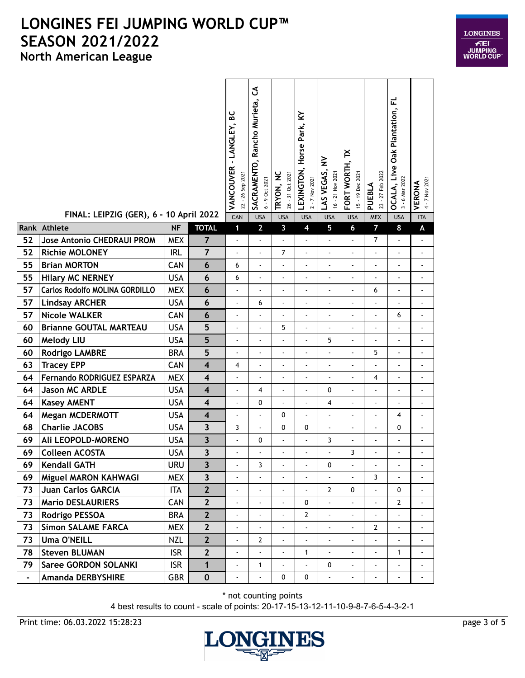

|                | FINAL: LEIPZIG (GER), 6 - 10 April 2022 |            |                         | မ္တ<br>VANCOUVER - LANGLEY,<br>26 Sep 2021<br>$22 -$<br>CAN | రే<br>SACRAMENTO, Rancho Murieta,<br>6 - 9 Oct 2021<br><b>USA</b> | <b>TRYON, NC</b><br>26 - 31 Oct 2021<br><b>USA</b> | $\boldsymbol{\Sigma}$<br>Park,<br>Horse<br>LEXINGTON,<br>2 - 7 Nov 2021<br><b>USA</b> | ≩<br>LAS VEGAS,<br>16 - 21 Nov 2021<br><b>USA</b> | ř<br>FORT WORTH,<br>15 - 19 Dec 2021<br><b>USA</b> | 23 - 27 Feb 2022<br>PUEBLA<br><b>MEX</b> | 군<br><b>OCALA, Live Oak Plantation,</b><br>3 - 6 Mar 2022<br><b>USA</b> | 4 - 7 Nov 2021<br>VERONA<br><b>ITA</b> |
|----------------|-----------------------------------------|------------|-------------------------|-------------------------------------------------------------|-------------------------------------------------------------------|----------------------------------------------------|---------------------------------------------------------------------------------------|---------------------------------------------------|----------------------------------------------------|------------------------------------------|-------------------------------------------------------------------------|----------------------------------------|
|                | Rank Athlete                            | <b>NF</b>  | <b>TOTAL</b>            | $\mathbf{1}$                                                | $\overline{2}$                                                    | 3                                                  | $\overline{\mathbf{4}}$                                                               | 5                                                 | $\mathbf 6$                                        | $\overline{7}$                           | 8                                                                       | $\boldsymbol{\mathsf{A}}$              |
| 52             | Jose Antonio CHEDRAUI PROM              | <b>MEX</b> | $\overline{7}$          | $\overline{a}$                                              | ä,                                                                | $\overline{a}$                                     | Ĭ.                                                                                    | $\blacksquare$                                    | ä,                                                 | $\overline{7}$                           | $\blacksquare$                                                          | ÷,                                     |
| 52             | <b>Richie MOLONEY</b>                   | <b>IRL</b> | $\overline{7}$          | $\blacksquare$                                              | ÷,                                                                | $\overline{7}$                                     |                                                                                       |                                                   | $\blacksquare$                                     | $\overline{\phantom{a}}$                 | ä,                                                                      |                                        |
| 55             | <b>Brian MORTON</b>                     | CAN        | $6\phantom{1}6$         | 6                                                           | $\overline{\phantom{a}}$                                          | ÷,                                                 |                                                                                       | $\overline{a}$                                    | $\blacksquare$                                     | $\blacksquare$                           | $\overline{\phantom{a}}$                                                |                                        |
| 55             | <b>Hilary MC NERNEY</b>                 | <b>USA</b> | $\boldsymbol{6}$        | 6                                                           | L.                                                                | ÷.                                                 | ä,                                                                                    |                                                   | $\blacksquare$                                     | $\blacksquare$                           | $\ddot{\phantom{a}}$                                                    | $\blacksquare$                         |
| 57             | Carlos Rodolfo MOLINA GORDILLO          | <b>MEX</b> | $6\phantom{1}6$         | $\blacksquare$                                              | ÷,                                                                | $\blacksquare$                                     | ä,                                                                                    | ä,                                                | ä,                                                 | 6                                        | ÷,                                                                      | $\blacksquare$                         |
| 57             | <b>Lindsay ARCHER</b>                   | <b>USA</b> | 6                       | $\blacksquare$                                              | 6                                                                 | ä,                                                 | ÷                                                                                     | ÷,                                                | $\overline{\phantom{a}}$                           | $\overline{a}$                           | $\hat{\phantom{a}}$                                                     | $\overline{a}$                         |
| 57             | <b>Nicole WALKER</b>                    | CAN        | $\boldsymbol{6}$        | $\overline{\phantom{a}}$                                    | $\blacksquare$                                                    | $\blacksquare$                                     | -                                                                                     | $\overline{\phantom{a}}$                          | $\qquad \qquad \blacksquare$                       | $\qquad \qquad \blacksquare$             | 6                                                                       | $\overline{a}$                         |
| 60             | <b>Brianne GOUTAL MARTEAU</b>           | <b>USA</b> | 5                       | ÷,                                                          | $\overline{a}$                                                    | 5                                                  | $\overline{a}$                                                                        | ÷,                                                | ÷,                                                 | ä,                                       | $\Box$                                                                  | $\blacksquare$                         |
| 60             | <b>Melody LIU</b>                       | <b>USA</b> | 5                       | $\overline{a}$                                              | ÷,                                                                |                                                    |                                                                                       | 5                                                 | $\overline{\phantom{a}}$                           | $\overline{a}$                           | ÷,                                                                      | $\ddot{\phantom{0}}$                   |
| 60             | <b>Rodrigo LAMBRE</b>                   | <b>BRA</b> | 5                       | $\blacksquare$                                              | ÷,                                                                | ÷,                                                 |                                                                                       | ÷,                                                | ÷,                                                 | 5                                        | $\overline{a}$                                                          | $\ddot{\phantom{0}}$                   |
| 63             | <b>Tracey EPP</b>                       | CAN        | $\overline{\mathbf{4}}$ | 4                                                           | ä,                                                                | $\blacksquare$                                     | Ĭ.                                                                                    |                                                   | ä,                                                 | $\overline{a}$                           | ÷,                                                                      |                                        |
| 64             | Fernando RODRIGUEZ ESPARZA              | <b>MEX</b> | $\overline{\mathbf{4}}$ | $\blacksquare$                                              | ÷,                                                                | ÷,                                                 | $\blacksquare$                                                                        |                                                   | $\overline{\phantom{a}}$                           | 4                                        | $\overline{\phantom{a}}$                                                | $\blacksquare$                         |
| 64             | <b>Jason MC ARDLE</b>                   | <b>USA</b> | 4                       | ä,                                                          | 4                                                                 |                                                    | $\overline{a}$                                                                        | 0                                                 | $\overline{\phantom{a}}$                           | $\overline{a}$                           | ÷,                                                                      | $\blacksquare$                         |
| 64             | <b>Kasey AMENT</b>                      | <b>USA</b> | 4                       | $\blacksquare$                                              | 0                                                                 | $\blacksquare$                                     | ä,                                                                                    | 4                                                 | $\blacksquare$                                     | $\blacksquare$                           | $\blacksquare$                                                          | $\ddot{\phantom{1}}$                   |
| 64             | <b>Megan MCDERMOTT</b>                  | <b>USA</b> | $\overline{\mathbf{4}}$ | $\blacksquare$                                              | ä,                                                                | 0                                                  | ä,                                                                                    | $\overline{\phantom{a}}$                          | ä,                                                 | ä,                                       | 4                                                                       | $\blacksquare$                         |
| 68             | <b>Charlie JACOBS</b>                   | <b>USA</b> | $\overline{\mathbf{3}}$ | 3                                                           | ÷,                                                                | 0                                                  | 0                                                                                     | $\overline{a}$                                    | $\blacksquare$                                     | $\overline{\phantom{a}}$                 | 0                                                                       | $\ddot{\phantom{0}}$                   |
| 69             | Ali LEOPOLD-MORENO                      | <b>USA</b> | $\overline{\mathbf{3}}$ | ä,                                                          | 0                                                                 |                                                    |                                                                                       | 3                                                 | $\overline{\phantom{a}}$                           | $\overline{a}$                           | ÷,                                                                      |                                        |
| 69             | <b>Colleen ACOSTA</b>                   | <b>USA</b> | $\overline{\mathbf{3}}$ | ä,                                                          | L.                                                                |                                                    |                                                                                       |                                                   | 3                                                  | ä,                                       | ÷,                                                                      |                                        |
| 69             | <b>Kendall GATH</b>                     | <b>URU</b> | $\overline{\mathbf{3}}$ | $\blacksquare$                                              | 3                                                                 |                                                    |                                                                                       | 0                                                 |                                                    | $\qquad \qquad \blacksquare$             |                                                                         |                                        |
| 69             | Miguel MARON KAHWAGI                    | <b>MEX</b> | $\overline{\mathbf{3}}$ | $\blacksquare$                                              |                                                                   |                                                    |                                                                                       | $\blacksquare$                                    |                                                    | $\mathbf{3}$                             |                                                                         |                                        |
| 73             | Juan Carlos GARCIA                      | <b>ITA</b> | $\mathbf{2}$            | $\blacksquare$                                              | $\blacksquare$                                                    | $\blacksquare$                                     | $\blacksquare$                                                                        | $\mathbf{2}$                                      | 0                                                  | $\blacksquare$                           | $\mathbf 0$                                                             | $\overline{\phantom{a}}$               |
| 73             | <b>Mario DESLAURIERS</b>                | CAN        | $\mathbf{2}$            | ÷,                                                          |                                                                   |                                                    | 0                                                                                     | ä,                                                | $\overline{a}$                                     | ÷,                                       | 2                                                                       |                                        |
| 73             | Rodrigo PESSOA                          | <b>BRA</b> | $\mathbf{2}$            | ä,                                                          | $\blacksquare$                                                    | ä,                                                 | $\mathbf{2}$                                                                          | ÷.                                                | ä,                                                 | ä,                                       | ä,                                                                      |                                        |
| 73             | <b>Simon SALAME FARCA</b>               | <b>MEX</b> | $\mathbf{2}$            | $\blacksquare$                                              |                                                                   |                                                    |                                                                                       |                                                   |                                                    | $\mathbf{2}$                             | ÷,                                                                      |                                        |
| 73             | <b>Uma O'NEILL</b>                      | <b>NZL</b> | $\mathbf{2}$            | $\blacksquare$                                              | $\mathbf{2}$                                                      |                                                    |                                                                                       |                                                   | $\blacksquare$                                     | $\blacksquare$                           | $\ddot{\phantom{0}}$                                                    |                                        |
| 78             | <b>Steven BLUMAN</b>                    | <b>ISR</b> | $\mathbf{2}$            | $\blacksquare$                                              | $\blacksquare$                                                    | ÷,                                                 | $\mathbf{1}$                                                                          | $\blacksquare$                                    | $\blacksquare$                                     | $\blacksquare$                           | 1                                                                       | $\blacksquare$                         |
| 79             | <b>Saree GORDON SOLANKI</b>             | <b>ISR</b> | $\mathbf{1}$            | $\blacksquare$                                              | $\mathbf{1}$                                                      |                                                    |                                                                                       | 0                                                 | ä,                                                 | $\blacksquare$                           | ÷,                                                                      |                                        |
| $\blacksquare$ | Amanda DERBYSHIRE                       | GBR        | $\mathbf 0$             | $\blacksquare$                                              | $\blacksquare$                                                    | 0                                                  | 0                                                                                     | ÷.                                                | $\blacksquare$                                     | $\blacksquare$                           | $\blacksquare$                                                          | $\blacksquare$                         |

\* not counting points

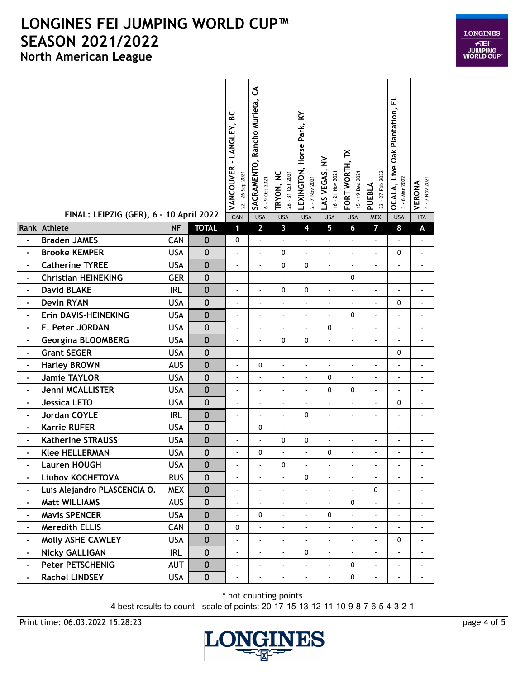

|                              | FINAL: LEIPZIG (GER), 6 - 10 April 2022 |            |              | VANCOUVER - LANGLEY, BC<br>22 - 26 Sep 2021<br>CAN | SACRAMENTO, Rancho Murieta, CA<br>6 - 9 Oct 2021<br><b>USA</b> | TRYON, NC<br>26 - 31 Oct 2021<br><b>USA</b> | ≩<br>Horse Park,<br>LEXINGTON,<br>2 - 7 Nov 2021<br><b>USA</b> | $\geq$<br>LAS VEGAS,<br>16 - 21 Nov 2021<br><b>USA</b> | ř<br>FORT WORTH,<br>15 - 19 Dec 2021<br><b>USA</b> | 23 - 27 Feb 2022<br>PUEBLA<br><b>MEX</b> | <b>OCALA, Live Oak Plantation, FL</b><br>3 - 6 Mar 2022<br><b>USA</b> | 4 - 7 Nov 2021<br>VERONA<br><b>ITA</b> |
|------------------------------|-----------------------------------------|------------|--------------|----------------------------------------------------|----------------------------------------------------------------|---------------------------------------------|----------------------------------------------------------------|--------------------------------------------------------|----------------------------------------------------|------------------------------------------|-----------------------------------------------------------------------|----------------------------------------|
|                              | Rank Athlete                            | <b>NF</b>  | <b>TOTAL</b> | $\mathbf{1}$                                       | $\overline{2}$                                                 | $\overline{\mathbf{3}}$                     | $\overline{\mathbf{4}}$                                        | 5                                                      | $6\phantom{a}$                                     | $\overline{7}$                           | 8                                                                     | $\pmb{\mathsf{A}}$                     |
| $\blacksquare$               | <b>Braden JAMES</b>                     | CAN        | $\bf{0}$     | $\mathbf 0$                                        | ä,                                                             | ä,                                          | ä,                                                             | ÷,                                                     | $\overline{\phantom{a}}$                           | ä,                                       | ÷,                                                                    | $\blacksquare$                         |
| $\frac{1}{2}$                | <b>Brooke KEMPER</b>                    | <b>USA</b> | $\bf{0}$     | $\frac{1}{2}$                                      | $\overline{a}$                                                 | $\mathbf{0}$                                |                                                                | ÷,                                                     | ÷,                                                 | $\overline{a}$                           | 0                                                                     | ÷,                                     |
| $\blacksquare$               | <b>Catherine TYREE</b>                  | <b>USA</b> | $\bf{0}$     | $\overline{\phantom{a}}$                           | $\overline{a}$                                                 | $\mathbf 0$                                 | 0                                                              | $\blacksquare$                                         | $\blacksquare$                                     | $\blacksquare$                           | $\blacksquare$                                                        | $\ddot{\phantom{0}}$                   |
| $\blacksquare$               | <b>Christian HEINEKING</b>              | <b>GER</b> | $\pmb{0}$    | $\blacksquare$                                     | ä,                                                             | ä,                                          |                                                                | ÷.                                                     | 0                                                  | $\blacksquare$                           | $\blacksquare$                                                        | $\overline{a}$                         |
| $\blacksquare$               | <b>David BLAKE</b>                      | <b>IRL</b> | $\pmb{0}$    | $\blacksquare$                                     | ÷,                                                             | 0                                           | 0                                                              | ÷,                                                     | $\blacksquare$                                     | $\blacksquare$                           | $\blacksquare$                                                        | $\blacksquare$                         |
| $\blacksquare$               | <b>Devin RYAN</b>                       | <b>USA</b> | $\bf{0}$     | $\frac{1}{2}$                                      |                                                                |                                             |                                                                |                                                        |                                                    | $\blacksquare$                           | 0                                                                     |                                        |
| $\blacksquare$               | Erin DAVIS-HEINEKING                    | <b>USA</b> | $\bf{0}$     | $\frac{1}{2}$                                      | $\blacksquare$                                                 | ÷,                                          | ä,                                                             | $\blacksquare$                                         | 0                                                  | $\blacksquare$                           | $\blacksquare$                                                        | $\blacksquare$                         |
| $\blacksquare$               | F. Peter JORDAN                         | <b>USA</b> | $\bf{0}$     | $\overline{a}$                                     | ÷,                                                             | $\overline{a}$                              | L.                                                             | 0                                                      | L,                                                 | $\overline{a}$                           | ÷,                                                                    | $\overline{\phantom{a}}$               |
| $\overline{\phantom{0}}$     | <b>Georgina BLOOMBERG</b>               | <b>USA</b> | $\bf{0}$     | $\overline{a}$                                     |                                                                | 0                                           | 0                                                              | ÷,                                                     | ÷,                                                 |                                          | $\overline{\phantom{a}}$                                              | $\ddot{\phantom{1}}$                   |
| $\blacksquare$               | <b>Grant SEGER</b>                      | <b>USA</b> | $\bf{0}$     | $\overline{a}$                                     | ÷,                                                             |                                             | ä,                                                             | ÷,                                                     |                                                    | $\blacksquare$                           | 0                                                                     | $\ddot{\phantom{0}}$                   |
| $\blacksquare$               | <b>Harley BROWN</b>                     | <b>AUS</b> | $\pmb{0}$    | $\overline{a}$                                     | 0                                                              | ä,                                          | ٠                                                              |                                                        | $\blacksquare$                                     | $\blacksquare$                           | $\blacksquare$                                                        |                                        |
| $\blacksquare$               | <b>Jamie TAYLOR</b>                     | <b>USA</b> | $\bf{0}$     | $\blacksquare$                                     | $\overline{a}$                                                 | ä,                                          | ä,                                                             | 0                                                      | $\overline{a}$                                     | $\blacksquare$                           | $\blacksquare$                                                        | $\blacksquare$                         |
| $\blacksquare$               | Jenni MCALLISTER                        | <b>USA</b> | $\bf{0}$     | ä,                                                 | $\overline{a}$                                                 | ÷,                                          | ä,                                                             | 0                                                      | 0                                                  | $\blacksquare$                           | $\Box$                                                                | $\blacksquare$                         |
| $\blacksquare$               | <b>Jessica LETO</b>                     | <b>USA</b> | $\bf{0}$     | $\blacksquare$                                     | ÷,                                                             | $\blacksquare$                              | $\blacksquare$                                                 | $\blacksquare$                                         |                                                    | $\blacksquare$                           | 0                                                                     | $\blacksquare$                         |
| $\blacksquare$               | Jordan COYLE                            | <b>IRL</b> | $\bf{0}$     | $\overline{\phantom{a}}$                           | $\overline{\phantom{a}}$                                       | $\overline{a}$                              | 0                                                              | ä,                                                     | $\blacksquare$                                     | $\blacksquare$                           | $\blacksquare$                                                        | $\ddot{\phantom{0}}$                   |
| $\qquad \qquad \blacksquare$ | <b>Karrie RUFER</b>                     | <b>USA</b> | $\bf{0}$     | $\overline{a}$                                     | 0                                                              | ÷,                                          |                                                                | $\ddot{\phantom{a}}$                                   | ÷,                                                 | $\blacksquare$                           | $\blacksquare$                                                        | $\blacksquare$                         |
| $\blacksquare$               | <b>Katherine STRAUSS</b>                | <b>USA</b> | $\bf{0}$     | $\overline{a}$                                     | $\overline{a}$                                                 | 0                                           | 0                                                              | $\blacksquare$                                         |                                                    | $\blacksquare$                           | $\blacksquare$                                                        |                                        |
| $\blacksquare$               | <b>Klee HELLERMAN</b>                   | <b>USA</b> | $\pmb{0}$    | ä,                                                 | 0                                                              |                                             |                                                                | 0                                                      |                                                    | $\blacksquare$                           | ÷,                                                                    |                                        |
| ۰                            | Lauren HOUGH                            | <b>USA</b> | $\mathbf 0$  | $\blacksquare$                                     |                                                                | 0                                           | $\overline{\phantom{0}}$                                       |                                                        | $\overline{a}$                                     | $\blacksquare$                           | $\blacksquare$                                                        |                                        |
| $\blacksquare$               | Liubov KOCHETOVA                        | <b>RUS</b> | $\bf{0}$     | $\overline{a}$                                     |                                                                |                                             | $\mathbf{0}$                                                   | $\omega$                                               | $\blacksquare$                                     | ä,                                       | L.                                                                    |                                        |
| $\blacksquare$               | Luis Alejandro PLASCENCIA O.            | <b>MEX</b> | $\pmb{0}$    | $\blacksquare$                                     | $\blacksquare$                                                 | $\blacksquare$                              | $\blacksquare$                                                 | $\blacksquare$                                         | ÷,                                                 | 0                                        | $\blacksquare$                                                        | $\blacksquare$                         |
| $\blacksquare$               | <b>Matt WILLIAMS</b>                    | <b>AUS</b> | $\bf{0}$     | ÷,                                                 |                                                                |                                             |                                                                |                                                        | 0                                                  | ä,                                       | $\blacksquare$                                                        |                                        |
| -                            | <b>Mavis SPENCER</b>                    | <b>USA</b> | $\mathbf 0$  | $\overline{\phantom{a}}$                           | 0                                                              |                                             |                                                                | 0                                                      | $\blacksquare$                                     | ÷.                                       | ä,                                                                    |                                        |
| $\blacksquare$               | <b>Meredith ELLIS</b>                   | CAN        | $\mathbf 0$  | 0                                                  |                                                                |                                             |                                                                |                                                        | ä,                                                 | $\blacksquare$                           |                                                                       |                                        |
| $\blacksquare$               | Molly ASHE CAWLEY                       | <b>USA</b> | $\pmb{0}$    | $\blacksquare$                                     |                                                                |                                             |                                                                | $\blacksquare$                                         | $\blacksquare$                                     | ÷,                                       | 0                                                                     | $\overline{\phantom{a}}$               |
| $\blacksquare$               | <b>Nicky GALLIGAN</b>                   | IRL        | $\pmb{0}$    | ÷,                                                 | $\blacksquare$                                                 | $\blacksquare$                              | 0                                                              | $\blacksquare$                                         | ÷,                                                 | $\blacksquare$                           | $\blacksquare$                                                        | $\blacksquare$                         |
| $\blacksquare$               | <b>Peter PETSCHENIG</b>                 | AUT        | $\bf{0}$     | $\overline{\phantom{a}}$                           |                                                                |                                             |                                                                |                                                        | 0                                                  | ä,                                       | $\blacksquare$                                                        |                                        |
| $\blacksquare$               | <b>Rachel LINDSEY</b>                   | <b>USA</b> | $\mathbf 0$  | $\blacksquare$                                     | $\overline{\phantom{a}}$                                       | $\blacksquare$                              | $\blacksquare$                                                 | $\blacksquare$                                         | 0                                                  | $\blacksquare$                           | $\blacksquare$                                                        | $\blacksquare$                         |

\* not counting points